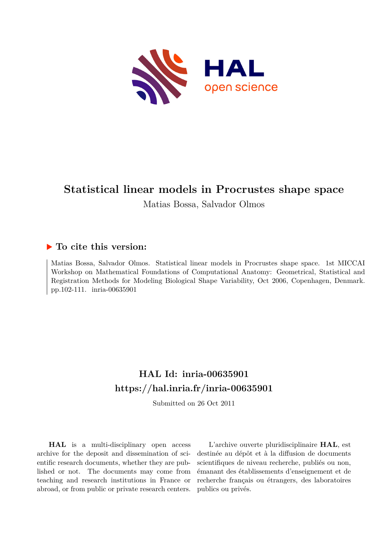

# **Statistical linear models in Procrustes shape space**

Matias Bossa, Salvador Olmos

# **To cite this version:**

Matias Bossa, Salvador Olmos. Statistical linear models in Procrustes shape space. 1st MICCAI Workshop on Mathematical Foundations of Computational Anatomy: Geometrical, Statistical and Registration Methods for Modeling Biological Shape Variability, Oct 2006, Copenhagen, Denmark. pp.102-111. inria-00635901

# **HAL Id: inria-00635901 <https://hal.inria.fr/inria-00635901>**

Submitted on 26 Oct 2011

**HAL** is a multi-disciplinary open access archive for the deposit and dissemination of scientific research documents, whether they are published or not. The documents may come from teaching and research institutions in France or abroad, or from public or private research centers.

L'archive ouverte pluridisciplinaire **HAL**, est destinée au dépôt et à la diffusion de documents scientifiques de niveau recherche, publiés ou non, émanant des établissements d'enseignement et de recherche français ou étrangers, des laboratoires publics ou privés.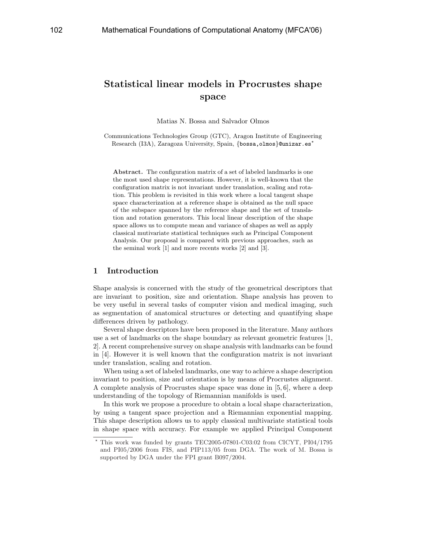# Statistical linear models in Procrustes shape space

Matias N. Bossa and Salvador Olmos

Communications Technologies Group (GTC), Aragon Institute of Engineering Research (I3A), Zaragoza University, Spain, {bossa,olmos}@unizar.es<sup>\*</sup>

Abstract. The configuration matrix of a set of labeled landmarks is one the most used shape representations. However, it is well-known that the configuration matrix is not invariant under translation, scaling and rotation. This problem is revisited in this work where a local tangent shape space characterization at a reference shape is obtained as the null space of the subspace spanned by the reference shape and the set of translation and rotation generators. This local linear description of the shape space allows us to compute mean and variance of shapes as well as apply classical mutivariate statistical techniques such as Principal Component Analysis. Our proposal is compared with previous approaches, such as the seminal work [1] and more recents works [2] and [3].

## 1 Introduction

Shape analysis is concerned with the study of the geometrical descriptors that are invariant to position, size and orientation. Shape analysis has proven to be very useful in several tasks of computer vision and medical imaging, such as segmentation of anatomical structures or detecting and quantifying shape differences driven by pathology.

Several shape descriptors have been proposed in the literature. Many authors use a set of landmarks on the shape boundary as relevant geometric features [1, 2]. A recent comprehensive survey on shape analysis with landmarks can be found in [4]. However it is well known that the configuration matrix is not invariant under translation, scaling and rotation.

When using a set of labeled landmarks, one way to achieve a shape description invariant to position, size and orientation is by means of Procrustes alignment. A complete analysis of Procrustes shape space was done in [5, 6], where a deep understanding of the topology of Riemannian manifolds is used.

In this work we propose a procedure to obtain a local shape characterization, by using a tangent space projection and a Riemannian exponential mapping. This shape description allows us to apply classical multivariate statistical tools in shape space with accuracy. For example we applied Principal Component

<sup>?</sup> This work was funded by grants TEC2005-07801-C03:02 from CICYT, PI04/1795 and PI05/2006 from FIS, and PIP113/05 from DGA. The work of M. Bossa is supported by DGA under the FPI grant B097/2004.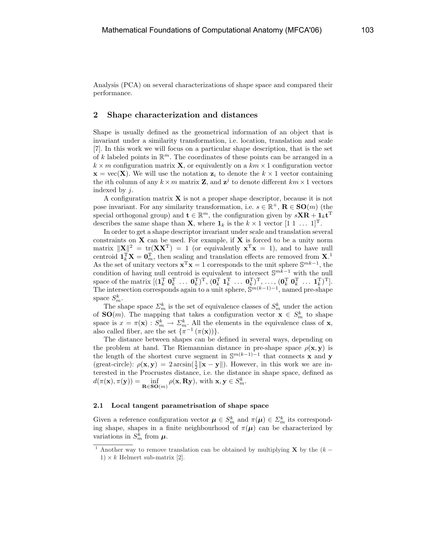Analysis (PCA) on several characterizations of shape space and compared their performance.

### 2 Shape characterization and distances

Shape is usually defined as the geometrical information of an object that is invariant under a similarity transformation, i.e. location, translation and scale [7]. In this work we will focus on a particular shape description, that is the set of k labeled points in  $\mathbb{R}^m$ . The coordinates of these points can be arranged in a  $k \times m$  configuration matrix **X**, or equivalently on a  $km \times 1$  configuration vector  $\mathbf{x} = \text{vec}(\mathbf{X})$ . We will use the notation  $\mathbf{z}_i$  to denote the  $k \times 1$  vector containing the *i*th column of any  $k \times m$  matrix **Z**, and  $z^{j}$  to denote different  $km \times 1$  vectors indexed by j.

A configuration matrix  $X$  is not a proper shape descriptor, because it is not pose invariant. For any similarity transformation, i.e.  $s \in \mathbb{R}^+$ ,  $\mathbb{R} \in \mathbf{SO}(m)$  (the special orthogonal group) and  $\mathbf{t} \in \mathbb{R}^m$ , the configuration given by  $s\mathbf{X} \mathbf{R} + \mathbf{1}_k \mathbf{t}^{\mathrm{T}}$ describes the same shape than **X**, where  $\mathbf{1}_k$  is the  $k \times 1$  vector  $[1 \ 1 \ \dots \ 1]^T$ .

In order to get a shape descriptor invariant under scale and translation several constraints on  $X$  can be used. For example, if  $X$  is forced to be a unity norm matrix  $\|\mathbf{X}\|^2 = \text{tr}(\mathbf{X}\mathbf{X}^T) = 1$  (or equivalently  $\mathbf{x}^T\mathbf{x} = 1$ ), and to have null centroid  $\mathbf{1}_k^{\mathrm{T}} \mathbf{X} = \mathbf{0}_m^{\mathrm{T}}$ , then scaling and translation effects are removed from  $\mathbf{X}$ .<sup>1</sup> As the set of unitary vectors  $\mathbf{x}^T \mathbf{x} = 1$  corresponds to the unit sphere  $\mathbb{S}^{mk-1}$ , the condition of having null centroid is equivalent to intersect  $\mathbb{S}^{mk-1}$  with the null space of the matrix  $[(\mathbf{1}_k^{\mathrm{T}} \ \mathbf{0}_k^{\mathrm{T}} \ \ldots \ \mathbf{0}_k^{\mathrm{T}})^{\mathrm{T}}, (\mathbf{0}_k^{\mathrm{T}} \ \mathbf{1}_k^{\mathrm{T}} \ \ldots \ \mathbf{0}_k^{\mathrm{T}})^{\mathrm{T}}, \ldots, (\mathbf{0}_k^{\mathrm{T}} \ \mathbf{0}_k^{\mathrm{T}} \ \ldots \ \mathbf{1}_k^{\mathrm{T}})^{\mathrm{T}}].$ The intersection corresponds again to a unit sphere,  $\mathbb{S}^{m(k-1)-1}$ , named pre-shape space  $S_m^k$ .

The shape space  $\mathcal{L}_m^k$  is the set of equivalence classes of  $S_m^k$  under the action of **SO**(*m*). The mapping that takes a configuration vector  $\mathbf{x} \in S_m^k$  to shape space is  $x = \pi(\mathbf{x}) : S_m^k \to \Sigma_m^k$ . All the elements in the equivalence class of **x**, also called fiber, are the set  $\{\pi^{-1}(\pi(\mathbf{x}))\}.$ 

The distance between shapes can be defined in several ways, depending on the problem at hand. The Riemannian distance in pre-shape space  $\rho(\mathbf{x}, \mathbf{y})$  is the length of the shortest curve segment in  $\mathbb{S}^{m(k-1)-1}$  that connects **x** and **y** (great-circle):  $\rho(\mathbf{x}, \mathbf{y}) = 2 \arcsin(\frac{1}{2} \| \mathbf{x} - \mathbf{y} \|)$ . However, in this work we are interested in the Procrustes distance, i.e. the distance in shape space, defined as  $d(\pi(\mathbf{x}), \pi(\mathbf{y})) = \inf_{\mathbf{R} \in \mathbf{SO}(m)} \rho(\mathbf{x}, \mathbf{R} \mathbf{y}), \text{ with } \mathbf{x}, \mathbf{y} \in S_m^k.$ 

#### 2.1 Local tangent parametrisation of shape space

Given a reference configuration vector  $\mu \in S_m^k$  and  $\pi(\mu) \in \Sigma_m^k$  its corresponding shape, shapes in a finite neighbourhood of  $\pi(\mu)$  can be characterized by variations in  $S_m^k$  from  $\mu$ .

<sup>&</sup>lt;sup>1</sup> Another way to remove translation can be obtained by multiplying **X** by the  $(k 1) \times k$  Helmert sub-matrix [2].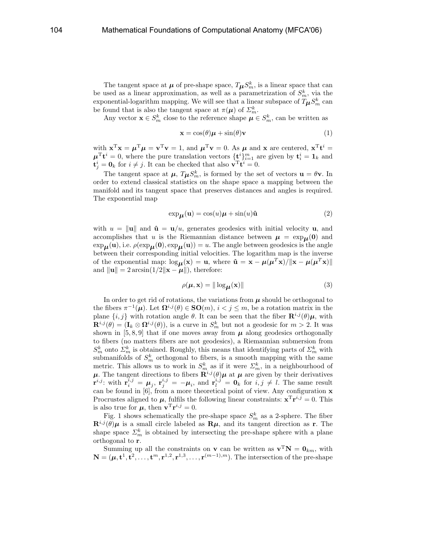The tangent space at  $\mu$  of pre-shape space,  $T_{\mu}S_m^k$ , is a linear space that can be used as a linear approximation, as well as a parametrization of  $S_m^k$ , via the exponential-logarithm mapping. We will see that a linear subspace of  $T_{\boldsymbol{\mu}}S^k_m$  can be found that is also the tangent space at  $\pi(\mu)$  of  $\mathcal{Z}_m^k$ .

Any vector  $\mathbf{x} \in S_m^k$  close to the reference shape  $\boldsymbol{\mu} \in S_m^k$ , can be written as

$$
\mathbf{x} = \cos(\theta)\boldsymbol{\mu} + \sin(\theta)\mathbf{v} \tag{1}
$$

with  $\mathbf{x}^T \mathbf{x} = \boldsymbol{\mu}^T \boldsymbol{\mu} = \mathbf{v}^T \mathbf{v} = 1$ , and  $\boldsymbol{\mu}^T \mathbf{v} = 0$ . As  $\boldsymbol{\mu}$  and  $\mathbf{x}$  are centered,  $\mathbf{x}^T \mathbf{t}^i =$  $\mu^{\mathrm{T}} \mathbf{t}^{i} = 0$ , where the pure translation vectors  $\{\mathbf{t}^{i}\}_{i=1}^{m}$  are given by  $\mathbf{t}^{i}_{i} = \mathbf{1}_{k}$  and  $\mathbf{t}_{j}^{i} = \mathbf{0}_{k}$  for  $i \neq j$ . It can be checked that also  $\mathbf{v}^{\mathrm{T}} \mathbf{t}^{i} = 0$ .

The tangent space at  $\mu$ ,  $T_{\mu}S_m^k$ , is formed by the set of vectors  $\mathbf{u} = \theta \mathbf{v}$ . In order to extend classical statistics on the shape space a mapping between the manifold and its tangent space that preserves distances and angles is required. The exponential map

$$
\exp_{\mu}(\mathbf{u}) = \cos(u)\mu + \sin(u)\hat{\mathbf{u}} \tag{2}
$$

with  $u = ||\mathbf{u}||$  and  $\hat{\mathbf{u}} = \mathbf{u}/u$ , generates geodesics with initial velocity **u**, and accomplishes that u is the Riemannian distance between  $\mu = \exp_{\mu}(0)$  and  $\exp_{\mu}(u)$ , i.e.  $\rho(\exp_{\mu}(0), \exp_{\mu}(u)) = u$ . The angle between geodesics is the angle between their corresponding initial velocities. The logarithm map is the inverse of the exponential map:  $\log_{\mu}(\mathbf{x}) = \mathbf{u}$ , where  $\hat{\mathbf{u}} = \mathbf{x} - \mu(\mu^T \mathbf{x})/||\mathbf{x} - \mu(\mu^T \mathbf{x})||$ and  $\|\mathbf{u}\| = 2 \arcsin(1/2\|\mathbf{x} - \boldsymbol{\mu}\|)$ , therefore:

$$
\rho(\boldsymbol{\mu}, \mathbf{x}) = \|\log_{\boldsymbol{\mu}}(\mathbf{x})\| \tag{3}
$$

In order to get rid of rotations, the variations from  $\mu$  should be orthogonal to the fibers  $\pi^{-1}(\mu)$ . Let  $\Omega^{i,j}(\theta) \in SO(m)$ ,  $i < j \leq m$ , be a rotation matrix in the plane  $\{i, j\}$  with rotation angle  $\theta$ . It can be seen that the fiber  $\mathbf{R}^{i,j}(\theta)\boldsymbol{\mu}$ , with  $\mathbf{R}^{i,j}(\theta) = (\mathbf{I}_k \otimes \mathbf{\Omega}^{i,j}(\theta)),$  is a curve in  $S_m^k$  but not a geodesic for  $m > 2$ . It was shown in [5, 8, 9] that if one moves away from  $\mu$  along geodesics orthogonally to fibers (no matters fibers are not geodesics), a Riemannian submersion from  $S_m^k$  onto  $\Sigma_m^k$  is obtained. Roughly, this means that identifying parts of  $\Sigma_m^k$  with submanifolds of  $S_m^k$  orthogonal to fibers, is a smooth mapping with the same metric. This allows us to work in  $S_m^k$  as if it were  $\mathcal{L}_m^k$ , in a neighbourhood of  $\mu$ . The tangent directions to fibers  $\mathbf{R}^{i,j}(\theta)\mu$  at  $\mu$  are given by their derivatives  $\mathbf{r}^{i,j}$ : with  $\mathbf{r}_i^{i,j} = \boldsymbol{\mu}_j$ ,  $\mathbf{r}_j^{i,j} = -\boldsymbol{\mu}_i$ , and  $\mathbf{r}_l^{i,j} = \mathbf{0}_k$  for  $i, j \neq l$ . The same result can be found in  $[6]$ , from a more theoretical point of view. Any configuration  $x$ Procrustes aligned to  $\mu$ , fulfils the following linear constraints:  $\mathbf{x}^T \mathbf{r}^{i,j} = 0$ . This is also true for  $\mu$ , then  $\mathbf{v}^{\mathrm{T}} \mathbf{r}^{i,j} = 0$ .

Fig. 1 shows schematically the pre-shape space  $S_m^k$  as a 2-sphere. The fiber  $\mathbf{R}^{i,j}(\theta)\mu$  is a small circle labeled as  $\mathbf{R}\mu$ , and its tangent direction as **r**. The shape space  $\mathcal{L}_m^k$  is obtained by intersecting the pre-shape sphere with a plane orthogonal to r.

Summing up all the constraints on **v** can be written as  $\mathbf{v}^{\mathrm{T}}\mathbf{N} = \mathbf{0}_{km}$ , with  $\mathbf{N} = (\boldsymbol{\mu}, \mathbf{t}^1, \mathbf{t}^2, \dots, \mathbf{t}^m, \mathbf{r}^{1,2}, \mathbf{r}^{1,3}, \dots, \mathbf{r}^{(m-1),m})$ . The intersection of the pre-shape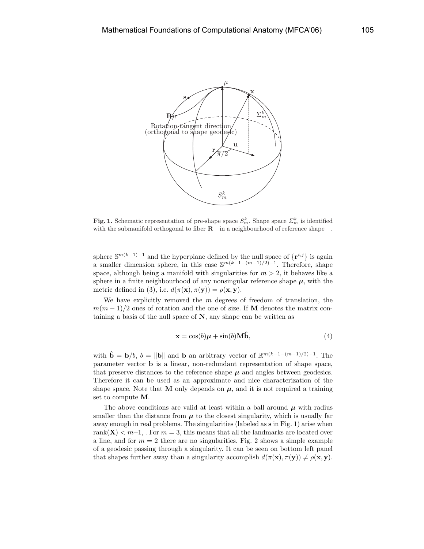

Fig. 1. Schematic representation of pre-shape space  $S_m^k$ . Shape space  $\sum_m^k$  is identified with the submanifold orthogonal to fiber  $R$  in a neighbourhood of reference shape.

sphere  $\mathbb{S}^{m(k-1)-1}$  and the hyperplane defined by the null space of  $\{r^{i,j}\}$  is again a smaller dimension sphere, in this case  $\mathbb{S}^{m(k-1-(m-1)/2)-1}$ . Therefore, shape space, although being a manifold with singularities for  $m > 2$ , it behaves like a sphere in a finite neighbourhood of any nonsingular reference shape  $\mu$ , with the metric defined in (3), i.e.  $d(\pi(\mathbf{x}), \pi(\mathbf{y})) = \rho(\mathbf{x}, \mathbf{y})$ .

We have explicitly removed the  $m$  degrees of freedom of translation, the  $m(m-1)/2$  ones of rotation and the one of size. If M denotes the matrix containing a basis of the null space of  $N$ , any shape can be written as

$$
\mathbf{x} = \cos(b)\boldsymbol{\mu} + \sin(b)\mathbf{M}\hat{\mathbf{b}},\tag{4}
$$

with  $\hat{\mathbf{b}} = \mathbf{b}/b$ ,  $b = ||\mathbf{b}||$  and  $\mathbf{b}$  an arbitrary vector of  $\mathbb{R}^{m(k-1-(m-1)/2)-1}$ . The parameter vector b is a linear, non-redundant representation of shape space, that preserve distances to the reference shape  $\mu$  and angles between geodesics. Therefore it can be used as an approximate and nice characterization of the shape space. Note that **M** only depends on  $\mu$ , and it is not required a training set to compute M.

The above conditions are valid at least within a ball around  $\mu$  with radius smaller than the distance from  $\mu$  to the closest singularity, which is usually far away enough in real problems. The singularities (labeled as s in Fig. 1) arise when rank( $X$ ) < m−1,. For m = 3, this means that all the landmarks are located over a line, and for  $m = 2$  there are no singularities. Fig. 2 shows a simple example of a geodesic passing through a singularity. It can be seen on bottom left panel that shapes further away than a singularity accomplish  $d(\pi(\mathbf{x}), \pi(\mathbf{y})) \neq \rho(\mathbf{x}, \mathbf{y})$ .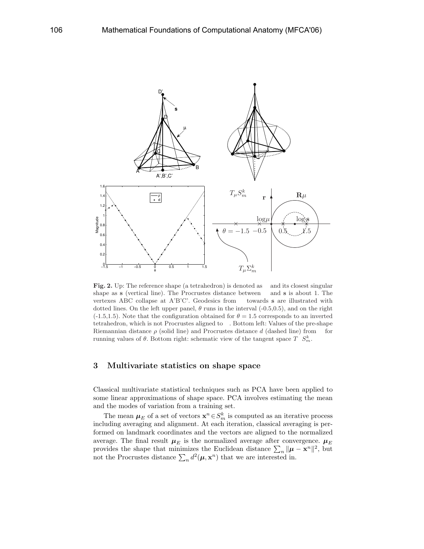

Fig. 2. Up: The reference shape (a tetrahedron) is denoted as and its closest singular shape as s (vertical line). The Procrustes distance between and s is about 1. The vertexes ABC collapse at A'B'C'. Geodesics from towards s are illustrated with dotted lines. On the left upper panel,  $\theta$  runs in the interval (-0.5,0.5), and on the right  $(-1.5,1.5)$ . Note that the configuration obtained for  $\theta = 1.5$  corresponds to an inverted tetrahedron, which is not Procrustes aligned to . Bottom left: Values of the pre-shape Riemannian distance  $\rho$  (solid line) and Procrustes distance d (dashed line) from for running values of  $\theta$ . Bottom right: schematic view of the tangent space  $T S_m^k$ .

## 3 Multivariate statistics on shape space

Classical multivariate statistical techniques such as PCA have been applied to some linear approximations of shape space. PCA involves estimating the mean and the modes of variation from a training set.

The mean  $\mu_E$  of a set of vectors  $\mathbf{x}^n \in S_m^k$  is computed as an iterative process including averaging and alignment. At each iteration, classical averaging is performed on landmark coordinates and the vectors are aligned to the normalized average. The final result  $\mu_E$  is the normalized average after convergence.  $\mu_E$ average. The final result  $\mu_E$  is the hormanized average after convergence.  $\mu_E$  provides the shape that minimizes the Euclidean distance  $\sum_n ||\mu - \mathbf{x}^n||^2$ , but not the Procrustes distance  $\sum_n d^2(\mu, \mathbf{x}^n)$  that we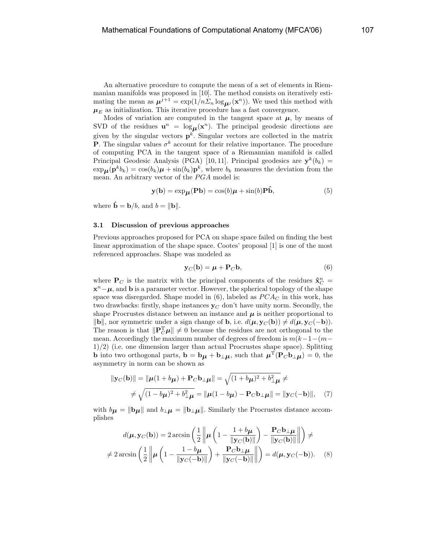An alternative procedure to compute the mean of a set of elements in Riemmanian manifolds was proposed in [10]. The method consists on iteratively estimating the mean as  $\mu^{j+1} = \exp(1/n \Sigma_n \log_{\mu^j}(\mathbf{x}^n))$ . We used this method with  $\mu_E$  as initialization. This iterative procedure has a fast convergence.

Modes of variation are computed in the tangent space at  $\mu$ , by means of SVD of the residues  $\mathbf{u}^n = \log_{\mu}(\mathbf{x}^n)$ . The principal geodesic directions are given by the singular vectors  $\mathbf{p}^k$ . Singular vectors are collected in the matrix **P**. The singular values  $\sigma^k$  account for their relative importance. The procedure of computing PCA in the tangent space of a Riemannian manifold is called Principal Geodesic Analysis (PGA) [10, 11]. Principal geodesics are  $\mathbf{y}^k(b_k)$  =  $\exp_{\mathbf{\mu}}(\mathbf{p}^k b_k) = \cos(b_k)\mathbf{\mu} + \sin(b_k)\mathbf{p}^k$ , where  $b_k$  measures the deviation from the mean. An arbitrary vector of the  $PGA$  model is:

$$
\mathbf{y(b)} = \exp_{\mu}(\mathbf{Pb}) = \cos(b)\mu + \sin(b)\mathbf{P}\hat{\mathbf{b}},\tag{5}
$$

where  $\hat{\mathbf{b}} = \mathbf{b}/b$ , and  $b = ||\mathbf{b}||$ .

#### 3.1 Discussion of previous approaches

Previous approaches proposed for PCA on shape space failed on finding the best linear approximation of the shape space. Cootes' proposal [1] is one of the most referenced approaches. Shape was modeled as

$$
\mathbf{y}_C(\mathbf{b}) = \boldsymbol{\mu} + \mathbf{P}_C \mathbf{b},\tag{6}
$$

where  $P_C$  is the matrix with the principal components of the residues  $\tilde{\mathbf{x}}_C^n$  =  $\mathbf{x}^n - \boldsymbol{\mu}$ , and **b** is a parameter vector. However, the spherical topology of the shape space was disregarded. Shape model in  $(6)$ , labeled as  $PCA<sub>C</sub>$  in this work, has two drawbacks: firstly, shape instances  $y_C$  don't have unity norm. Secondly, the shape Procrustes distance between an instance and  $\mu$  is neither proportional to ||**b**||, nor symmetric under a sign change of **b**, i.e.  $d(\boldsymbol{\mu}, \mathbf{y}_C(\mathbf{b})) \neq d(\boldsymbol{\mu}, \mathbf{y}_C(-\mathbf{b}))$ . The reason is that  $\|\mathbf{P}_C^{\mathrm{T}}\boldsymbol{\mu}\| \neq 0$  because the residues are not orthogonal to the mean. Accordingly the maximum number of degrees of freedom is  $m(k-1-(m-p))$ 1)/2) (i.e. one dimension larger than actual Procrustes shape space). Splitting **b** into two orthogonal parts,  $\mathbf{b} = \mathbf{b}\boldsymbol{\mu} + \mathbf{b}_{\perp}\boldsymbol{\mu}$ , such that  $\boldsymbol{\mu}^{\mathrm{T}}(\mathbf{P}_C \mathbf{b}_{\perp} \boldsymbol{\mu}) = 0$ , the asymmetry in norm can be shown as

$$
\|\mathbf{y}_{C}(\mathbf{b})\| = \|\boldsymbol{\mu}(1+b_{\boldsymbol{\mu}}) + \mathbf{P}_{C}\mathbf{b}_{\perp\boldsymbol{\mu}}\| = \sqrt{(1+b_{\boldsymbol{\mu}})^{2} + b_{\perp\boldsymbol{\mu}}^{2}} \neq
$$
  

$$
\neq \sqrt{(1-b_{\boldsymbol{\mu}})^{2} + b_{\perp\boldsymbol{\mu}}^{2}} = \|\boldsymbol{\mu}(1-b_{\boldsymbol{\mu}}) - \mathbf{P}_{C}\mathbf{b}_{\perp\boldsymbol{\mu}}\| = \|\mathbf{y}_{C}(-\mathbf{b})\|, \quad (7)
$$

with  $b\mu = ||\mathbf{b}_\mu||$  and  $b_\perp\mu = ||\mathbf{b}_\perp\mu||$ . Similarly the Procrustes distance accomplishes

$$
d(\boldsymbol{\mu}, \mathbf{y}_C(\mathbf{b})) = 2 \arcsin\left(\frac{1}{2} \left\| \boldsymbol{\mu} \left(1 - \frac{1 + b\boldsymbol{\mu}}{\|\mathbf{y}_C(\mathbf{b})\|}\right) - \frac{\mathbf{P}_C \mathbf{b}_\perp \boldsymbol{\mu}}{\|\mathbf{y}_C(\mathbf{b})\|}\right\|\right) \neq
$$
  

$$
\neq 2 \arcsin\left(\frac{1}{2} \left\| \boldsymbol{\mu} \left(1 - \frac{1 - b\boldsymbol{\mu}}{\|\mathbf{y}_C(-\mathbf{b})\|}\right) + \frac{\mathbf{P}_C \mathbf{b}_\perp \boldsymbol{\mu}}{\|\mathbf{y}_C(-\mathbf{b})\|}\right\|\right) = d(\boldsymbol{\mu}, \mathbf{y}_C(-\mathbf{b})).
$$
 (8)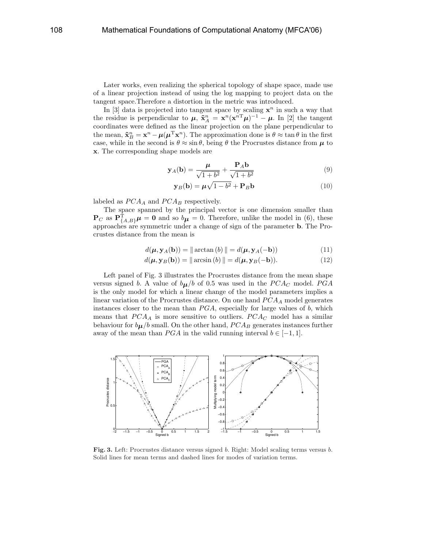Later works, even realizing the spherical topology of shape space, made use of a linear projection instead of using the log mapping to project data on the tangent space.Therefore a distortion in the metric was introduced.

In [3] data is projected into tangent space by scaling  $x^n$  in such a way that the residue is perpendicular to  $\mu$ ,  $\tilde{\mathbf{x}}_A^n = \mathbf{x}^n (\mathbf{x}^{nT} \mu)^{-1} - \mu$ . In [2] the tangent coordinates were defined as the linear projection on the plane perpendicular to the mean,  $\tilde{\mathbf{x}}_B^n = \mathbf{x}^n - \mu(\mu^T \mathbf{x}^n)$ . The approximation done is  $\theta \approx \tan \theta$  in the first case, while in the second is  $\theta \approx \sin \theta$ , being  $\theta$  the Procrustes distance from  $\mu$  to x. The corresponding shape models are

$$
\mathbf{y}_A(\mathbf{b}) = \frac{\boldsymbol{\mu}}{\sqrt{1+b^2}} + \frac{\mathbf{P}_A \mathbf{b}}{\sqrt{1+b^2}}
$$
(9)

$$
\mathbf{y}_B(\mathbf{b}) = \boldsymbol{\mu}\sqrt{1 - b^2 + \mathbf{P}_B}\mathbf{b}
$$
 (10)

labeled as  $PCA_A$  and  $PCA_B$  respectively.

The space spanned by the principal vector is one dimension smaller than  $\mathbf{P}_C$  as  $\mathbf{P}_{\{A,B\}}^{\mathrm{T}}\boldsymbol{\mu} = \mathbf{0}$  and so  $b_{\boldsymbol{\mu}} = 0$ . Therefore, unlike the model in (6), these approaches are symmetric under a change of sign of the parameter b. The Procrustes distance from the mean is

$$
d(\boldsymbol{\mu}, \mathbf{y}_A(\mathbf{b})) = \|\arctan(b)\| = d(\boldsymbol{\mu}, \mathbf{y}_A(-\mathbf{b}))
$$
\n(11)

$$
d(\boldsymbol{\mu}, \mathbf{y}_B(\mathbf{b})) = \|\arcsin(b)\| = d(\boldsymbol{\mu}, \mathbf{y}_B(-\mathbf{b})).
$$
\n(12)

Left panel of Fig. 3 illustrates the Procrustes distance from the mean shape versus signed b. A value of  $b\mu/b$  of 0.5 was used in the  $PCA_C$  model. PGA is the only model for which a linear change of the model parameters implies a linear variation of the Procrustes distance. On one hand  $PCA_A$  model generates instances closer to the mean than  $PGA$ , especially for large values of b, which means that  $PCA_A$  is more sensitive to outliers.  $PCA_C$  model has a similar behaviour for  $b_{\mu}/b$  small. On the other hand,  $PCA_B$  generates instances further away of the mean than  $PGA$  in the valid running interval  $b \in [-1, 1]$ .



Fig. 3. Left: Procrustes distance versus signed b. Right: Model scaling terms versus b. Solid lines for mean terms and dashed lines for modes of variation terms.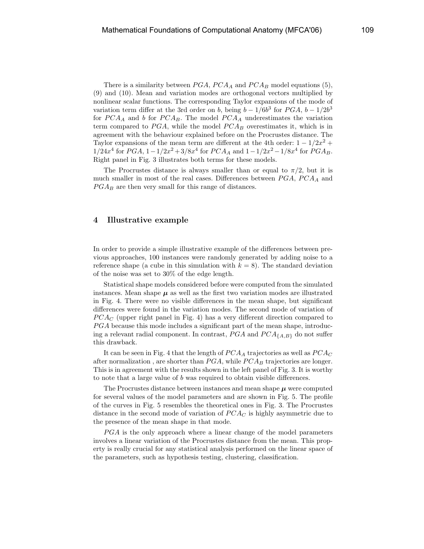There is a similarity between  $PGA$ ,  $PCA$  and  $PCA$  model equations (5), (9) and (10). Mean and variation modes are orthogonal vectors multiplied by nonlinear scalar functions. The corresponding Taylor expansions of the mode of variation term differ at the 3rd order on b, being  $b - 1/6b^3$  for  $PGA$ ,  $b - 1/2b^3$ for  $PCA_A$  and b for  $PCA_B$ . The model  $PCA_A$  underestimates the variation term compared to  $PGA$ , while the model  $PCA_B$  overestimates it, which is in agreement with the behaviour explained before on the Procrustes distance. The Taylor expansions of the mean term are different at the 4th order:  $1 - 1/2x^2 +$  $1/24x^4$  for  $PGA$ ,  $1-1/2x^2+3/8x^4$  for  $PCA_A$  and  $1-1/2x^2-1/8x^4$  for  $PGA_B$ . Right panel in Fig. 3 illustrates both terms for these models.

The Procrustes distance is always smaller than or equal to  $\pi/2$ , but it is much smaller in most of the real cases. Differences between  $PGA$ ,  $PCA$  and  $PGA_B$  are then very small for this range of distances.

## 4 Illustrative example

In order to provide a simple illustrative example of the differences between previous approaches, 100 instances were randomly generated by adding noise to a reference shape (a cube in this simulation with  $k = 8$ ). The standard deviation of the noise was set to 30% of the edge length.

Statistical shape models considered before were computed from the simulated instances. Mean shape  $\mu$  as well as the first two variation modes are illustrated in Fig. 4. There were no visible differences in the mean shape, but significant differences were found in the variation modes. The second mode of variation of  $PCA_{\mathcal{C}}$  (upper right panel in Fig. 4) has a very different direction compared to  $PGA$  because this mode includes a significant part of the mean shape, introducing a relevant radial component. In contrast,  $PGA$  and  $PCA<sub>{A,B}</sub>$  do not suffer this drawback.

It can be seen in Fig. 4 that the length of  $PCA_{A}$  trajectories as well as  $PCA_{C}$ after normalization, are shorter than  $PGA$ , while  $PCA_B$  trajectories are longer. This is in agreement with the results shown in the left panel of Fig. 3. It is worthy to note that a large value of b was required to obtain visible differences.

The Procrustes distance between instances and mean shape  $\mu$  were computed for several values of the model parameters and are shown in Fig. 5. The profile of the curves in Fig. 5 resembles the theoretical ones in Fig. 3. The Procrustes distance in the second mode of variation of  $PCA<sub>C</sub>$  is highly asymmetric due to the presence of the mean shape in that mode.

 $P G A$  is the only approach where a linear change of the model parameters involves a linear variation of the Procrustes distance from the mean. This property is really crucial for any statistical analysis performed on the linear space of the parameters, such as hypothesis testing, clustering, classification.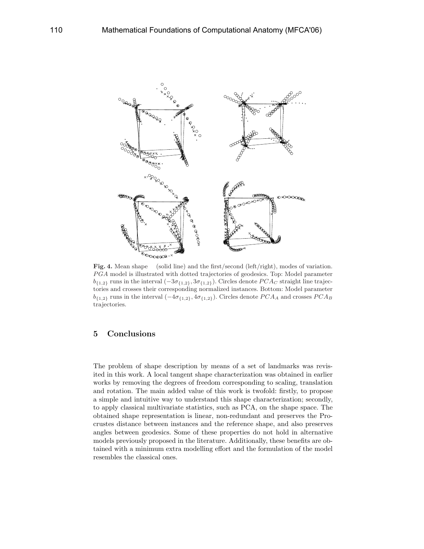

Fig. 4. Mean shape (solid line) and the first/second (left/right), modes of variation. P GA model is illustrated with dotted trajectories of geodesics. Top: Model parameter  $b_{\{1,2\}}$  runs in the interval  $(-3\sigma_{\{1,2\}}, 3\sigma_{\{1,2\}})$ . Circles denote  $PCA_C$  straight line trajectories and crosses their corresponding normalized instances. Bottom: Model parameter  $b_{\{1,2\}}$  runs in the interval  $(-4\sigma_{\{1,2\}}, 4\sigma_{\{1,2\}})$ . Circles denote  $PCA_A$  and crosses  $PCA_B$ trajectories.

# 5 Conclusions

The problem of shape description by means of a set of landmarks was revisited in this work. A local tangent shape characterization was obtained in earlier works by removing the degrees of freedom corresponding to scaling, translation and rotation. The main added value of this work is twofold: firstly, to propose a simple and intuitive way to understand this shape characterization; secondly, to apply classical multivariate statistics, such as PCA, on the shape space. The obtained shape representation is linear, non-redundant and preserves the Procrustes distance between instances and the reference shape, and also preserves angles between geodesics. Some of these properties do not hold in alternative models previously proposed in the literature. Additionally, these benefits are obtained with a minimum extra modelling effort and the formulation of the model resembles the classical ones.